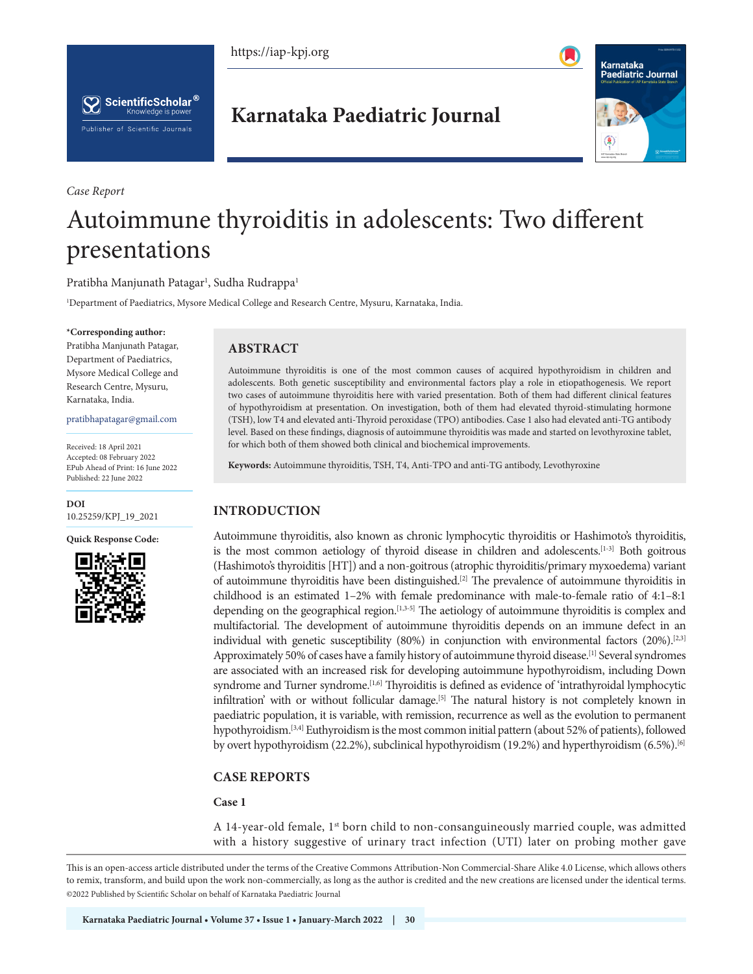





*Case Report*

# **Karnataka Paediatric Journal**



# Autoimmune thyroiditis in adolescents: Two different presentations

Pratibha Manjunath Patagar<sup>1</sup>, Sudha Rudrappa<sup>1</sup>

1 Department of Paediatrics, Mysore Medical College and Research Centre, Mysuru, Karnataka, India.

#### **\*Corresponding author:**

Pratibha Manjunath Patagar, Department of Paediatrics, Mysore Medical College and Research Centre, Mysuru, Karnataka, India.

pratibhapatagar@gmail.com

Received: 18 April 2021 Accepted: 08 February 2022 EPub Ahead of Print: 16 June 2022 Published: 22 June 2022

**DOI** [10.25259/KPJ\\_19\\_2021](http://dx.doi.org/10.25259/KPJ_19_2021)

**Quick Response Code:**



# **ABSTRACT**

Autoimmune thyroiditis is one of the most common causes of acquired hypothyroidism in children and adolescents. Both genetic susceptibility and environmental factors play a role in etiopathogenesis. We report two cases of autoimmune thyroiditis here with varied presentation. Both of them had different clinical features of hypothyroidism at presentation. On investigation, both of them had elevated thyroid-stimulating hormone (TSH), low T4 and elevated anti-Thyroid peroxidase (TPO) antibodies. Case 1 also had elevated anti-TG antibody level. Based on these findings, diagnosis of autoimmune thyroiditis was made and started on levothyroxine tablet, for which both of them showed both clinical and biochemical improvements.

**Keywords:** Autoimmune thyroiditis, TSH, T4, Anti-TPO and anti-TG antibody, Levothyroxine

# **INTRODUCTION**

Autoimmune thyroiditis, also known as chronic lymphocytic thyroiditis or Hashimoto's thyroiditis, is the most common aetiology of thyroid disease in children and adolescents.<sup>[1-3]</sup> Both goitrous (Hashimoto's thyroiditis [HT]) and a non-goitrous (atrophic thyroiditis/primary myxoedema) variant of autoimmune thyroiditis have been distinguished.[2] The prevalence of autoimmune thyroiditis in childhood is an estimated 1–2% with female predominance with male-to-female ratio of 4:1–8:1 depending on the geographical region.[1,3-5] The aetiology of autoimmune thyroiditis is complex and multifactorial. The development of autoimmune thyroiditis depends on an immune defect in an individual with genetic susceptibility (80%) in conjunction with environmental factors (20%).[2,3] Approximately 50% of cases have a family history of autoimmune thyroid disease.<sup>[1]</sup> Several syndromes are associated with an increased risk for developing autoimmune hypothyroidism, including Down syndrome and Turner syndrome.<sup>[1,6]</sup> Thyroiditis is defined as evidence of 'intrathyroidal lymphocytic infiltration' with or without follicular damage.<sup>[5]</sup> The natural history is not completely known in paediatric population, it is variable, with remission, recurrence as well as the evolution to permanent hypothyroidism.[3,4] Euthyroidism is the most common initial pattern (about 52% of patients), followed by overt hypothyroidism (22.2%), subclinical hypothyroidism (19.2%) and hyperthyroidism (6.5%).<sup>[6]</sup>

# **CASE REPORTS**

#### **Case 1**

A 14-year-old female,  $1<sup>st</sup>$  born child to non-consanguineously married couple, was admitted with a history suggestive of urinary tract infection (UTI) later on probing mother gave

This is an open-access article distributed under the terms of the Creative Commons Attribution-Non Commercial-Share Alike 4.0 License, which allows others to remix, transform, and build upon the work non-commercially, as long as the author is credited and the new creations are licensed under the identical terms. ©2022 Published by Scientific Scholar on behalf of Karnataka Paediatric Journal

**Karnataka Paediatric Journal • Volume 37 • Issue 1 • January-March 2022 | 30 Karnataka Paediatric Journal • Volume 37 • Issue 1 • January-March 2022 | 31**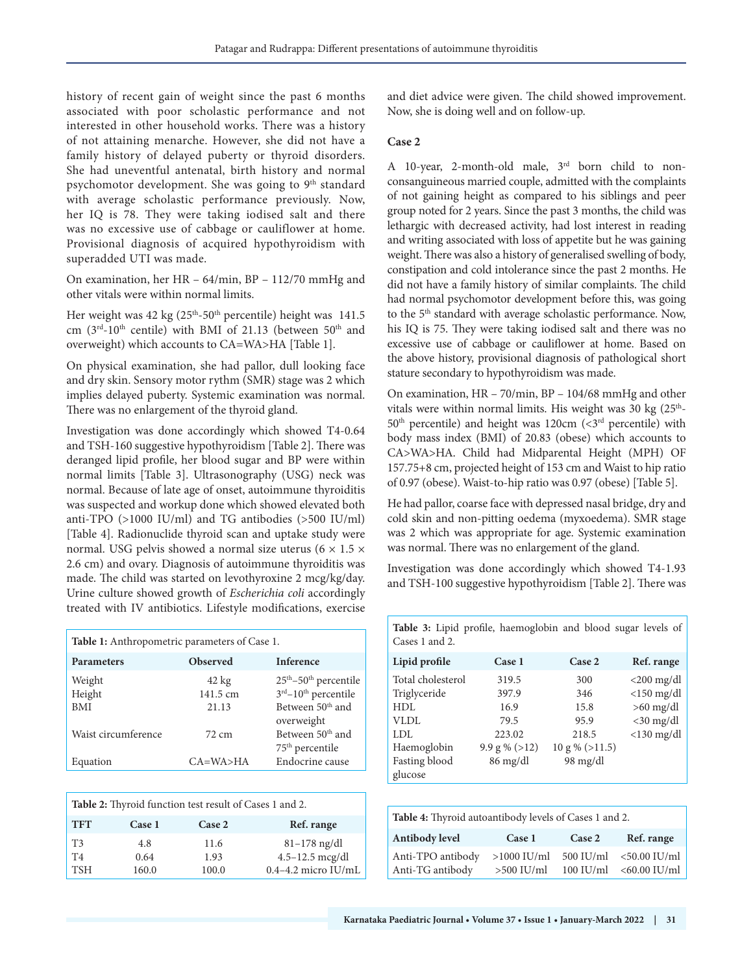history of recent gain of weight since the past 6 months associated with poor scholastic performance and not interested in other household works. There was a history of not attaining menarche. However, she did not have a family history of delayed puberty or thyroid disorders. She had uneventful antenatal, birth history and normal psychomotor development. She was going to 9<sup>th</sup> standard with average scholastic performance previously. Now, her IQ is 78. They were taking iodised salt and there was no excessive use of cabbage or cauliflower at home. Provisional diagnosis of acquired hypothyroidism with superadded UTI was made.

On examination, her HR – 64/min, BP – 112/70 mmHg and other vitals were within normal limits.

Her weight was  $42 \text{ kg}$  (25<sup>th</sup>-50<sup>th</sup> percentile) height was 141.5 cm ( $3<sup>rd</sup>-10<sup>th</sup>$  centile) with BMI of 21.13 (between  $50<sup>th</sup>$  and overweight) which accounts to CA=WA>HA [Table 1].

On physical examination, she had pallor, dull looking face and dry skin. Sensory motor rythm (SMR) stage was 2 which implies delayed puberty. Systemic examination was normal. There was no enlargement of the thyroid gland.

Investigation was done accordingly which showed T4-0.64 and TSH-160 suggestive hypothyroidism [Table 2]. There was deranged lipid profile, her blood sugar and BP were within normal limits [Table 3]. Ultrasonography (USG) neck was normal. Because of late age of onset, autoimmune thyroiditis was suspected and workup done which showed elevated both anti-TPO  $(>1000$  IU/ml) and TG antibodies  $(>500$  IU/ml) [Table 4]. Radionuclide thyroid scan and uptake study were normal. USG pelvis showed a normal size uterus ( $6 \times 1.5 \times$ 2.6 cm) and ovary. Diagnosis of autoimmune thyroiditis was made. The child was started on levothyroxine 2 mcg/kg/day. Urine culture showed growth of *Escherichia coli* accordingly treated with IV antibiotics. Lifestyle modifications, exercise

| <b>Table 1:</b> Anthropometric parameters of Case 1. |                             |                                                                                  |
|------------------------------------------------------|-----------------------------|----------------------------------------------------------------------------------|
| <b>Parameters</b>                                    | <b>Observed</b>             | <b>Inference</b>                                                                 |
| Weight<br>Height                                     | $42 \text{ kg}$<br>141.5 cm | 25 <sup>th</sup> -50 <sup>th</sup> percentile<br>3rd-10 <sup>th</sup> percentile |
| <b>BMI</b>                                           | 21.13                       | Between 50 <sup>th</sup> and<br>overweight                                       |
| Waist circumference                                  | 72 cm                       | Between 50 <sup>th</sup> and<br>$75th$ percentile                                |
| Equation                                             | $CA=WA>HA$                  | Endocrine cause                                                                  |

| Table 2: Thyroid function test result of Cases 1 and 2. |        |        |                       |
|---------------------------------------------------------|--------|--------|-----------------------|
| <b>TFT</b>                                              | Case 1 | Case 2 | Ref. range            |
| T <sub>3</sub>                                          | 4.8    | 11.6   | $81 - 178$ ng/dl      |
| T4                                                      | 0.64   | 1.93   | 4.5-12.5 mcg/dl       |
| <b>TSH</b>                                              | 160.0  | 100.0  | $0.4-4.2$ micro IU/mL |

and diet advice were given. The child showed improvement. Now, she is doing well and on follow-up.

# **Case 2**

A 10-year, 2-month-old male, 3rd born child to nonconsanguineous married couple, admitted with the complaints of not gaining height as compared to his siblings and peer group noted for 2 years. Since the past 3 months, the child was lethargic with decreased activity, had lost interest in reading and writing associated with loss of appetite but he was gaining weight. There was also a history of generalised swelling of body, constipation and cold intolerance since the past 2 months. He did not have a family history of similar complaints. The child had normal psychomotor development before this, was going to the 5<sup>th</sup> standard with average scholastic performance. Now, his IQ is 75. They were taking iodised salt and there was no excessive use of cabbage or cauliflower at home. Based on the above history, provisional diagnosis of pathological short stature secondary to hypothyroidism was made.

On examination, HR – 70/min, BP – 104/68 mmHg and other vitals were within normal limits. His weight was  $30 \text{ kg}$  ( $25^{\text{th}}$ - $50<sup>th</sup>$  percentile) and height was 120cm (<3<sup>rd</sup> percentile) with body mass index (BMI) of 20.83 (obese) which accounts to CA>WA>HA. Child had Midparental Height (MPH) OF 157.75+8 cm, projected height of 153 cm and Waist to hip ratio of 0.97 (obese). Waist-to-hip ratio was 0.97 (obese) [Table 5].

He had pallor, coarse face with depressed nasal bridge, dry and cold skin and non-pitting oedema (myxoedema). SMR stage was 2 which was appropriate for age. Systemic examination was normal. There was no enlargement of the gland.

Investigation was done accordingly which showed T4-1.93 and TSH-100 suggestive hypothyroidism [Table 2]. There was

**Table 3:** Lipid profile, haemoglobin and blood sugar levels of Cases 1 and 2.

| Lipid profile     | Case 1           | Case 2             | Ref. range    |
|-------------------|------------------|--------------------|---------------|
| Total cholesterol | 319.5            | 300                | $<$ 200 mg/dl |
| Triglyceride      | 397.9            | 346                | $<$ 150 mg/dl |
| HDL               | 16.9             | 15.8               | $>60$ mg/dl   |
| VLDL              | 79.5             | 95.9               | $<$ 30 mg/dl  |
| LDL               | 223.02           | 218.5              | $<$ 130 mg/dl |
| Haemoglobin       | $9.9 g \% (>12)$ | $10 g \% (>11.5)$  |               |
| Fasting blood     | $86$ mg/dl       | $98 \text{ mg/dl}$ |               |
| glucose           |                  |                    |               |

| Table 4: Thyroid autoantibody levels of Cases 1 and 2. |                               |        |                                                    |
|--------------------------------------------------------|-------------------------------|--------|----------------------------------------------------|
| Antibody level                                         | Case 1                        | Case 2 | Ref. range                                         |
| Anti-TPO antibody<br>Anti-TG antibody                  | $>1000$ IU/ml<br>$>500$ IU/ml |        | 500 IU/ml <50.00 IU/ml<br>$100$ IU/ml <60.00 IU/ml |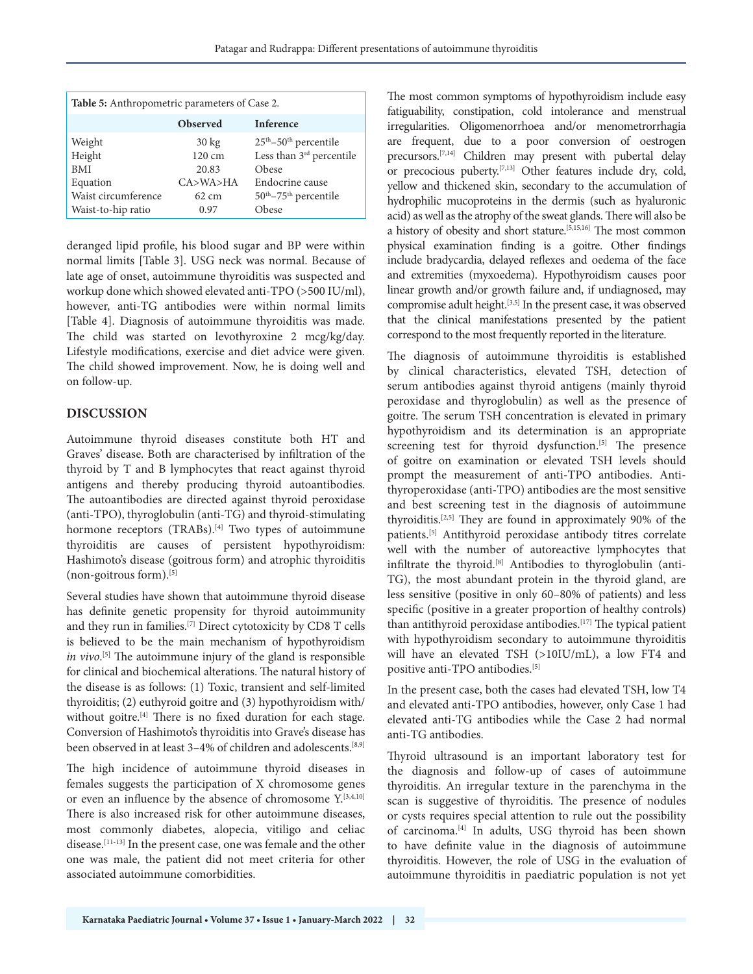| Table 5: Anthropometric parameters of Case 2. |                  |                                      |
|-----------------------------------------------|------------------|--------------------------------------|
|                                               | <b>Observed</b>  | <b>Inference</b>                     |
| Weight                                        | $30 \text{ kg}$  | $25th - 50th$ percentile             |
| Height                                        | $120 \text{ cm}$ | Less than 3 <sup>rd</sup> percentile |
| <b>BMI</b>                                    | 20.83            | Obese                                |
| Equation                                      | CA > WA > HA     | Endocrine cause                      |
| Waist circumference                           | $62 \text{ cm}$  | $50th - 75th$ percentile             |
| Waist-to-hip ratio                            | 0.97             | Obese                                |

deranged lipid profile, his blood sugar and BP were within normal limits [Table 3]. USG neck was normal. Because of late age of onset, autoimmune thyroiditis was suspected and workup done which showed elevated anti-TPO (>500 IU/ml), however, anti-TG antibodies were within normal limits [Table 4]. Diagnosis of autoimmune thyroiditis was made. The child was started on levothyroxine 2 mcg/kg/day. Lifestyle modifications, exercise and diet advice were given. The child showed improvement. Now, he is doing well and on follow-up.

# **DISCUSSION**

Autoimmune thyroid diseases constitute both HT and Graves' disease. Both are characterised by infiltration of the thyroid by T and B lymphocytes that react against thyroid antigens and thereby producing thyroid autoantibodies. The autoantibodies are directed against thyroid peroxidase (anti-TPO), thyroglobulin (anti-TG) and thyroid-stimulating hormone receptors (TRABs).<sup>[4]</sup> Two types of autoimmune thyroiditis are causes of persistent hypothyroidism: Hashimoto's disease (goitrous form) and atrophic thyroiditis (non-goitrous form).[5]

Several studies have shown that autoimmune thyroid disease has definite genetic propensity for thyroid autoimmunity and they run in families.[7] Direct cytotoxicity by CD8 T cells is believed to be the main mechanism of hypothyroidism *in vivo*. [5] The autoimmune injury of the gland is responsible for clinical and biochemical alterations. The natural history of the disease is as follows: (1) Toxic, transient and self-limited thyroiditis; (2) euthyroid goitre and (3) hypothyroidism with/ without goitre.<sup>[4]</sup> There is no fixed duration for each stage. Conversion of Hashimoto's thyroiditis into Grave's disease has been observed in at least 3-4% of children and adolescents.<sup>[8,9]</sup>

The high incidence of autoimmune thyroid diseases in females suggests the participation of X chromosome genes or even an influence by the absence of chromosome  $Y$ . [3,4,10] There is also increased risk for other autoimmune diseases, most commonly diabetes, alopecia, vitiligo and celiac disease.[11-13] In the present case, one was female and the other one was male, the patient did not meet criteria for other associated autoimmune comorbidities.

The most common symptoms of hypothyroidism include easy fatiguability, constipation, cold intolerance and menstrual irregularities. Oligomenorrhoea and/or menometrorrhagia are frequent, due to a poor conversion of oestrogen precursors.[7,14] Children may present with pubertal delay or precocious puberty.[7,13] Other features include dry, cold, yellow and thickened skin, secondary to the accumulation of hydrophilic mucoproteins in the dermis (such as hyaluronic acid) as well as the atrophy of the sweat glands. There will also be a history of obesity and short stature.[5,15,16] The most common physical examination finding is a goitre. Other findings include bradycardia, delayed reflexes and oedema of the face and extremities (myxoedema). Hypothyroidism causes poor linear growth and/or growth failure and, if undiagnosed, may compromise adult height.[3,5] In the present case, it was observed that the clinical manifestations presented by the patient correspond to the most frequently reported in the literature.

The diagnosis of autoimmune thyroiditis is established by clinical characteristics, elevated TSH, detection of serum antibodies against thyroid antigens (mainly thyroid peroxidase and thyroglobulin) as well as the presence of goitre. The serum TSH concentration is elevated in primary hypothyroidism and its determination is an appropriate screening test for thyroid dysfunction.<sup>[5]</sup> The presence of goitre on examination or elevated TSH levels should prompt the measurement of anti-TPO antibodies. Antithyroperoxidase (anti-TPO) antibodies are the most sensitive and best screening test in the diagnosis of autoimmune thyroiditis.[2,5] They are found in approximately 90% of the patients.[5] Antithyroid peroxidase antibody titres correlate well with the number of autoreactive lymphocytes that infiltrate the thyroid.[8] Antibodies to thyroglobulin (anti-TG), the most abundant protein in the thyroid gland, are less sensitive (positive in only 60–80% of patients) and less specific (positive in a greater proportion of healthy controls) than antithyroid peroxidase antibodies.<sup>[17]</sup> The typical patient with hypothyroidism secondary to autoimmune thyroiditis will have an elevated TSH (>10IU/mL), a low FT4 and positive anti-TPO antibodies.[5]

In the present case, both the cases had elevated TSH, low T4 and elevated anti-TPO antibodies, however, only Case 1 had elevated anti-TG antibodies while the Case 2 had normal anti-TG antibodies.

Thyroid ultrasound is an important laboratory test for the diagnosis and follow-up of cases of autoimmune thyroiditis. An irregular texture in the parenchyma in the scan is suggestive of thyroiditis. The presence of nodules or cysts requires special attention to rule out the possibility of carcinoma.[4] In adults, USG thyroid has been shown to have definite value in the diagnosis of autoimmune thyroiditis. However, the role of USG in the evaluation of autoimmune thyroiditis in paediatric population is not yet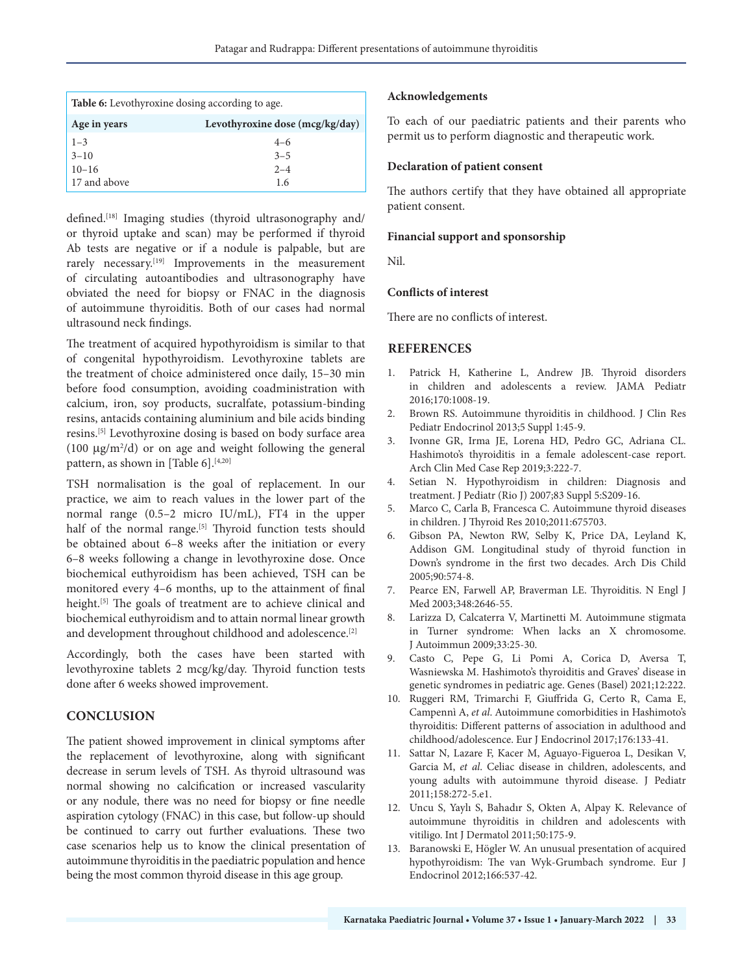| <b>Table 6:</b> Levothyroxine dosing according to age. |                                 |
|--------------------------------------------------------|---------------------------------|
| Age in years                                           | Levothyroxine dose (mcg/kg/day) |
| $1 - 3$                                                | $4 - 6$                         |
| $3 - 10$                                               | $3 - 5$                         |
| $10 - 16$                                              | $2 - 4$                         |
| 17 and above                                           | 1.6                             |

defined.<sup>[18]</sup> Imaging studies (thyroid ultrasonography and/ or thyroid uptake and scan) may be performed if thyroid Ab tests are negative or if a nodule is palpable, but are rarely necessary.<sup>[19]</sup> Improvements in the measurement of circulating autoantibodies and ultrasonography have obviated the need for biopsy or FNAC in the diagnosis of autoimmune thyroiditis. Both of our cases had normal ultrasound neck findings.

The treatment of acquired hypothyroidism is similar to that of congenital hypothyroidism. Levothyroxine tablets are the treatment of choice administered once daily, 15–30 min before food consumption, avoiding coadministration with calcium, iron, soy products, sucralfate, potassium-binding resins, antacids containing aluminium and bile acids binding resins.[5] Levothyroxine dosing is based on body surface area (100  $\mu$ g/m<sup>2</sup>/d) or on age and weight following the general pattern, as shown in [Table 6].<sup>[4,20]</sup>

TSH normalisation is the goal of replacement. In our practice, we aim to reach values in the lower part of the normal range (0.5–2 micro IU/mL), FT4 in the upper half of the normal range.<sup>[5]</sup> Thyroid function tests should be obtained about 6–8 weeks after the initiation or every 6–8 weeks following a change in levothyroxine dose. Once biochemical euthyroidism has been achieved, TSH can be monitored every 4–6 months, up to the attainment of final height.<sup>[5]</sup> The goals of treatment are to achieve clinical and biochemical euthyroidism and to attain normal linear growth and development throughout childhood and adolescence.<sup>[2]</sup>

Accordingly, both the cases have been started with levothyroxine tablets 2 mcg/kg/day. Thyroid function tests done after 6 weeks showed improvement.

# **CONCLUSION**

The patient showed improvement in clinical symptoms after the replacement of levothyroxine, along with significant decrease in serum levels of TSH. As thyroid ultrasound was normal showing no calcification or increased vascularity or any nodule, there was no need for biopsy or fine needle aspiration cytology (FNAC) in this case, but follow-up should be continued to carry out further evaluations. These two case scenarios help us to know the clinical presentation of autoimmune thyroiditis in the paediatric population and hence being the most common thyroid disease in this age group.

### **Acknowledgements**

To each of our paediatric patients and their parents who permit us to perform diagnostic and therapeutic work.

# **Declaration of patient consent**

The authors certify that they have obtained all appropriate patient consent.

### **Financial support and sponsorship**

Nil.

#### **Conflicts of interest**

There are no conflicts of interest.

# **REFERENCES**

- 1. Patrick H, Katherine L, Andrew JB. Thyroid disorders in children and adolescents a review. JAMA Pediatr 2016;170:1008-19.
- 2. Brown RS. Autoimmune thyroiditis in childhood. J Clin Res Pediatr Endocrinol 2013;5 Suppl 1:45-9.
- 3. Ivonne GR, Irma JE, Lorena HD, Pedro GC, Adriana CL. Hashimoto's thyroiditis in a female adolescent-case report. Arch Clin Med Case Rep 2019;3:222-7.
- 4. Setian N. Hypothyroidism in children: Diagnosis and treatment. J Pediatr (Rio J) 2007;83 Suppl 5:S209-16.
- 5. Marco C, Carla B, Francesca C. Autoimmune thyroid diseases in children. J Thyroid Res 2010;2011:675703.
- 6. Gibson PA, Newton RW, Selby K, Price DA, Leyland K, Addison GM. Longitudinal study of thyroid function in Down's syndrome in the first two decades. Arch Dis Child 2005;90:574-8.
- 7. Pearce EN, Farwell AP, Braverman LE. Thyroiditis. N Engl J Med 2003;348:2646-55.
- 8. Larizza D, Calcaterra V, Martinetti M. Autoimmune stigmata in Turner syndrome: When lacks an X chromosome. J Autoimmun 2009;33:25-30.
- 9. Casto C, Pepe G, Li Pomi A, Corica D, Aversa T, Wasniewska M. Hashimoto's thyroiditis and Graves' disease in genetic syndromes in pediatric age. Genes (Basel) 2021;12:222.
- 10. Ruggeri RM, Trimarchi F, Giuffrida G, Certo R, Cama E, Campennì A, *et al*. Autoimmune comorbidities in Hashimoto's thyroiditis: Different patterns of association in adulthood and childhood/adolescence. Eur J Endocrinol 2017;176:133-41.
- 11. Sattar N, Lazare F, Kacer M, Aguayo-Figueroa L, Desikan V, Garcia M, *et al*. Celiac disease in children, adolescents, and young adults with autoimmune thyroid disease. J Pediatr 2011;158:272-5.e1.
- 12. Uncu S, Yaylı S, Bahadır S, Okten A, Alpay K. Relevance of autoimmune thyroiditis in children and adolescents with vitiligo. Int J Dermatol 2011;50:175-9.
- 13. Baranowski E, Högler W. An unusual presentation of acquired hypothyroidism: The van Wyk-Grumbach syndrome. Eur J Endocrinol 2012;166:537-42.